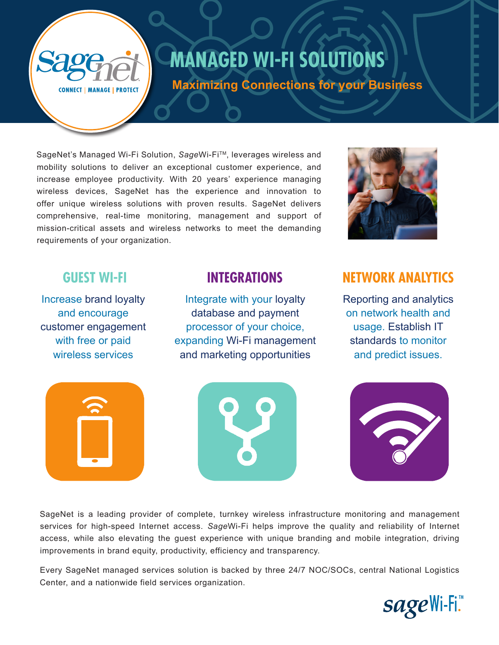# **[MANAGED WI-FI SOLUTIONS](https://www.sagenet.com/service/sageconnect/wi-fi/)**

**Maximizing Connections for your Business**

**CONNECT | MANAGE | PROTECT** 

SageNet's Managed Wi-Fi Solution, SageWi-Fi<sup>™</sup>, leverages wireless and mobility solutions to deliver an exceptional customer experience, and increase employee productivity. With 20 years' experience managing wireless devices, SageNet has the experience and innovation to offer unique wireless solutions with proven results. SageNet delivers comprehensive, real-time monitoring, management and support of mission-critical assets and wireless networks to meet the demanding requirements of your organization.

Increase brand loyalty and encourage customer engagement with free or paid wireless services

Integrate with your loyalty database and payment processor of your choice, expanding Wi-Fi management and marketing opportunities





## **GUEST WI-FI INTEGRATIONS NETWORK ANALYTICS**

Reporting and analytics on network health and usage. Establish IT standards to monitor and predict issues.



SageNet is a leading provider of complete, turnkey wireless infrastructure monitoring and management services for high-speed Internet access. *Sage*Wi-Fi helps improve the quality and reliability of Internet access, while also elevating the guest experience with unique branding and mobile integration, driving improvements in brand equity, productivity, efficiency and transparency.

Every SageNet managed services solution is backed by three 24/7 NOC/SOCs, central National Logistics Center, and a nationwide field services organization.